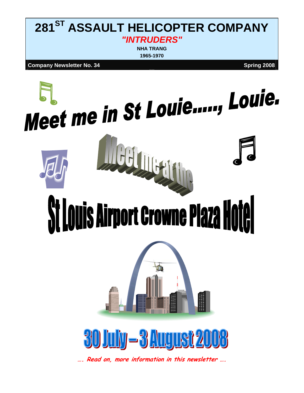# **281ST ASSAULT HELICOPTER COMPANY**  *"INTRUDERS"*

**NHA TRANG 1965-1970**

**Company Newsletter No. 34** Spring 2008

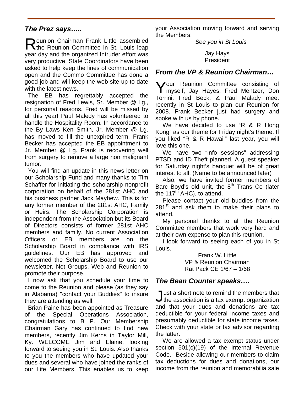### *The Prez says…..*

**D** eunion Chairman Frank Little assembled Reunion Chairman Frank Little assembled<br>
R the Reunion Committee in St. Louis leap<br>
See you in St Louis year day and the organized Intruder effort was very productive. State Coordinators have been asked to help keep the lines of communication open and the Commo Committee has done a good job and will keep the web site up to date with the latest news.

 The EB has regrettably accepted the resignation of Fred Lewis, Sr. Member @ Lg., for personal reasons. Fred will be missed by all this year! Paul Maledy has volunteered to handle the Hospitality Room. In accordance to the By Laws Ken Smith, Jr. Member @ Lg. has moved to fill the unexpired term. Frank Becker has accepted the EB appointment to Jr. Member @ Lg. Frank is recovering well from surgery to remove a large non malignant tumor.

 You will find an update in this news letter on our Scholarship Fund and many thanks to Tim Schaffer for initiating the scholarship nonprofit corporation on behalf of the 281st AHC and his business partner Jack Mayhew. This is for any former member of the 281st AHC, Family or Heirs. The Scholarship Corporation is independent from the Association but its Board of Directors consists of former 281st AHC members and family. No current Association Officers or EB members are on the Scholarship Board in compliance with IRS guidelines. Our EB has approved and welcomed the Scholarship Board to use our newsletter, Net Groups, Web and Reunion to promote their purpose.

 I now ask that you schedule your time to come to the Reunion and please (as they say in Alabama) "contact your Buddies" to insure they are attending as well.

 Brian Paine has been appointed as Treasure of the Special Operations Association, congratulations to B P. Our Membership Chairman Gary has continued to find new members, recently Jim Kerns in Taylor Mill, Ky. WELCOME Jim and Elaine, looking forward to seeing you in St. Louis. Also thanks to you the members who have updated your dues and several who have joined the ranks of our Life Members. This enables us to keep your Association moving forward and serving the Members!

Jay Hays President

# *From the VP & Reunion Chairman…*

Vour Reunion Committee consisting of Your Reunion Committee consisting of<br>
Michay Hayes, Fred Mentzer, Don Torrini, Fred Beck, & Paul Malady meet recently in St Louis to plan our Reunion for 2008. Frank Becker just had surgery and spoke with us by phone.

We have decided to use "R & R Hong Kong" as our theme for Friday night's theme. If you liked "R & R Hawaii" last year, you will love this one.

We have two "info sessions" addressing PTSD and ID Theft planned. A guest speaker for Saturday night's banquet will be of great interest to all. (Name to be announced later)

Also, we have invited former members of Barc Boyd's old unit, the  $8<sup>th</sup>$  Trans Co (later the  $117<sup>th</sup>$  AHC), to attend.

Please contact your old buddies from the  $281<sup>st</sup>$  and ask them to make their plans to attend.

My personal thanks to all the Reunion Committee members that work very hard and at their own expense to plan this reunion.

I look forward to seeing each of you in St Louis.

> Frank W. Little VP & Reunion Chairman Rat Pack CE 1/67 – 1/68

# *The Bean Counter speaks….*

ust a short note to remind the members that  $\int$  ust a short note to remind the members that<br>the association is a tax exempt organization and that your dues and donations are tax deductible for your federal income taxes and presumably deductible for state income taxes. Check with your state or tax advisor regarding the latter.

We are allowed a tax exempt status under section 501(c)(19) of the Internal Revenue Code. Beside allowing our members to claim tax deductions for dues and donations, our income from the reunion and memorabilia sale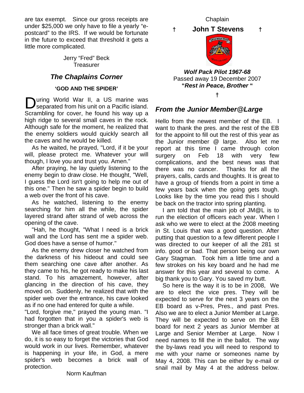are tax exempt. Since our gross receipts are under \$25,000 we only have to file a yearly "epostcard" to the IRS. If we would be fortunate in the future to exceed that threshold it gets a little more complicated.

> Jerry "Fred" Beck **Treasurer**

# *The Chaplains Corner*

### **'GOD AND THE SPIDER'**

uring World War II, a US marine was **D**uring World War II, a US marine was<br>separated from his unit on a Pacific island. Scrambling for cover, he found his way up a high ridge to several small caves in the rock. Although safe for the moment, he realized that the enemy soldiers would quickly search all the caves and he would be killed.

As he waited, he prayed, "Lord, if it be your will, please protect me. Whatever your will though, I love you and trust you. Amen."

After praying, he lay quietly listening to the enemy begin to draw close. He thought, "Well, I guess the Lord isn't going to help me out of this one." Then he saw a spider begin to build a web over the front of his cave.

As he watched, listening to the enemy searching for him all the while, the spider layered strand after strand of web across the opening of the cave.

"Hah, he thought, "What I need is a brick wall and the Lord has sent me a spider web. God does have a sense of humor."

As the enemy drew closer he watched from the darkness of his hideout and could see them searching one cave after another. As they came to his, he got ready to make his last stand. To his amazement, however, after glancing in the direction of his cave, they moved on. Suddenly, he realized that with the spider web over the entrance, his cave looked as if no one had entered for quite a while.

"Lord, forgive me," prayed the young man. "I had forgotten that in you a spider's web is stronger than a brick wall."

We all face times of great trouble. When we do, it is so easy to forget the victories that God would work in our lives. Remember, whatever is happening in your life, in God, a mere spider's web becomes a brick wall of protection.

Norm Kaufman

Chaplain

**† John T Stevens †** 



*Wolf Pack Pilot 1967-68*  Passed away 19 December 2007 **"***Rest in Peace, Brother* **"**

**†**

# *From the Junior Member@Large*

Hello from the newest member of the EB. I want to thank the pres. and the rest of the EB for the appoint to fill out the rest of this year as the Junior member @ large. Also let me report at this time I came through colon surgery on Feb 18 with very few complications, and the best news was that there was no cancer. Thanks for all the prayers, calls, cards and thoughts. It is great to have a group of friends from a point in time a few years back when the going gets tough. Looks like by the time you read this I should be back on the tractor into spring planting.

I am told that the main job of JM@L is to run the election of officers each year. When I ask who we were to elect at the 2008 meeting in St. Louis that was a good question. After putting that question to a few different people I was directed to our keeper of all the 281 st info. good or bad. That person being our own Gary Stagman. Took him a little time and a few strokes on his key board and he had me answer for this year and several to come. A big thank you to Gary. You saved my butt.

So here is the way it is to be in 2008, We are to elect the vice pres. They will be expected to serve for the next 3 years on the EB board as v-Pres, Pres., and past Pres. Also we are to elect a Junior Member at Large. They will be expected to serve on the EB board for next 2 years as Junior Member at Large and Senior Member at Large. Now I need names to fill the in the ballot. The way the by-laws read you will need to respond to me with your name or someones name by May 4, 2008. This can be either by e-mail or snail mail by May 4 at the address below.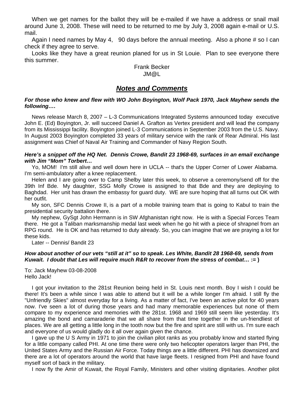When we get names for the ballot they will be e-mailed if we have a address or snail mail around June 3, 2008. These will need to be returned to me by July 3, 2008 again e-mail or U.S. mail.

Again I need names by May 4, 90 days before the annual meeting. Also a phone # so I can check if they agree to serve.

Looks like they have a great reunion planed for us in St Louie. Plan to see everyone there this summer.

> Frank Becker JM@L

## *Notes and Comments*

#### *For those who knew and flew with WO John Boyington, Wolf Pack 1970, Jack Mayhew sends the following….*

News release March 8, 2007 – L-3 Communications Integrated Systems announced today executive John E. (Ed) Boyington, Jr. will succeed Daniel A. Grafton as Vertex president and will lead the company from its Mississippi facility. Boyington joined L-3 Communications in September 2003 from the U.S. Navy. In August 2003 Boyington completed 33 years of military service with the rank of Rear Admiral. His last assignment was Chief of Naval Air Training and Commander of Navy Region South.

#### *Here's a snippet off the HQ Net. Dennis Crowe, Bandit 23 1968-69, surfaces in an email exchange with Jim "Mom" Torbert…*

Yo, MOM! I'm still alive and well down here in UCLA -- that's the Upper Corner of Lower Alabama. I'm semi-ambulatory after a knee replacement.

Helen and I are going over to Camp Shelby later this week, to observe a ceremony/send off for the 39th Inf Bde. My daughter, SSG Molly Crowe is assigned to that Bde and they are deploying to Baghdad. Her unit has drawn the embassy for guard duty. WE are sure hoping that all turns out OK with her outfit.

My son, SFC Dennis Crowe II, is a part of a mobile training team that is going to Kabul to train the presidential security battalion there.

My nephew, GySgt John Hermann is in SW Afghanistan right now. He is with a Special Forces Team there. He got a Taliban marksmanship medal last week when he go hit with a piece of shrapnel from an RPG round. He is OK and has returned to duty already. So, you can imagine that we are praying a lot for these kids.

Later -- Dennis/ Bandit 23

#### *How about another of our vets "still at it" so to speak. Les White, Bandit 28 1968-69, sends from Kuwait. I doubt that Les will require much R&R to recover from the stress of combat…* **:= )**

To: Jack Mayhew 03-08-2008 Hello Jack!

I got your invitation to the 281st Reunion being held in St. Louis next month. Boy I wish I could be there! It's been a while since I was able to attend but it will be a while longer I'm afraid. I still fly the "Unfriendly Skies" almost everyday for a living. As a matter of fact, I've been an active pilot for 40 years now. I've seen a lot of during those years and had many memorable experiences but none of them compare to my experience and memories with the 281st. 1968 and 1969 still seem like yesterday. It's amazing the bond and camaraderie that we all share from that time together in the un-friendliest of places. We are all getting a little long in the tooth now but the fire and spirit are still with us. I'm sure each and everyone of us would gladly do it all over again given the chance.

I gave up the U S Army in 1971 to join the civilian pilot ranks as you probably know and started flying for a little company called PHI. At one time there were only two helicopter operators larger than PHI, the United States Army and the Russian Air Force. Today things are a little different. PHI has downsized and there are a lot of operators around the world that have large fleets. I resigned from PHI and have found myself sort of back in the military.

I now fly the Amir of Kuwait, the Royal Family, Ministers and other visiting dignitaries. Another pilot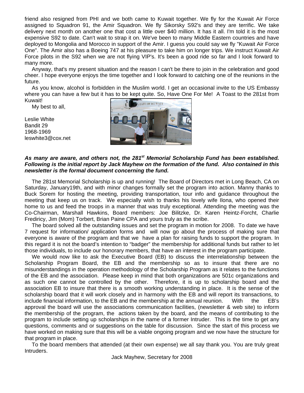friend also resigned from PHI and we both came to Kuwait together. We fly for the Kuwait Air Force assigned to Squadron 91, the Amir Squadron. We fly Sikorsky S92's and they are terrific. We take delivery next month on another one that cost a little over \$40 million. It has it all. I'm told it is the most expensive S92 to date. Can't wait to strap it on. We've been to many Middle Eastern countries and have deployed to Mongolia and Morocco in support of the Amir. I guess you could say we fly "Kuwait Air Force One". The Amir also has a Boeing 747 at his pleasure to take him on longer trips. We instruct Kuwait Air Force pilots in the S92 when we are not flying VIP's. It's been a good ride so far and I look forward to many more.

Anyway, that's my present situation and the reason I can't be there to join in the celebration and good cheer. I hope everyone enjoys the time together and I look forward to catching one of the reunions in the future.

As you know, alcohol is forbidden in the Muslim world. I get an occasional invite to the US Embassy where you can have a few but it has to be kept quite. So, Have One For Me! A Toast to the 281st from Kuwait!

My best to all,

Leslie White Bandit 29 1968-1969 leswhite3@cox.net



#### *As many are aware, and others not, the 281st Memorial Scholarship Fund has been established. Following is the initial report by Jack Mayhew on the formation of the fund. Also contained in this newsletter is the formal document concerning the fund.*

The 281st Memorial Scholarship is up and running! The Board of Directors met in Long Beach, CA on Saturday, January19th, and with minor changes formally set the program into action. Manny thanks to Buck Sorem for hosting the meeting, providing transportation, tour info and guidance throughout the meeting that keep us on track. We especially wish to thanks his lovely wife Ilona, who opened their home to us and feed the troops in a manner that was truly exceptional. Attending the meeting was the Co-Chairman, Marshall Hawkins, Board members: Joe Bilitzke, Dr. Karen Heintz-Forcht, Charlie Frediricy, Jim (Mom) Torbert, Brian Paine CPA and yours truly as the scribe.

The board solved all the outstanding issues and set the program in motion for 2008. To date we have 7 request for information/ application forms and will now go about the process of making sure that everyone is aware of the program and that we have a plan for raising funds to support the program. In this regard it is not the board's intention to "badger" the membership for additional funds but rather to let those individuals, to include our honorary members, that have an interest in the program participate.

We would now like to ask the Executive Board (EB) to discuss the interrelationship between the Scholarship Program Board, the EB and the membership so as to insure that there are no misunderstandings in the operation methodology of the Scholarship Program as it relates to the functions of the EB and the association. Please keep in mind that both organizations are 501c organizations and as such one cannot be controlled by the other. Therefore, it is up to scholarship board and the association EB to insure that there is a smooth working understanding in place. It is the sense of the scholarship board that it will work closely and in harmony with the EB and will report its transactions, to include financial information, to the EB and the membership at the annual reunion. With the EB's approval the board will use the associations communication facilities, (newsletter & web site) to inform the membership of the program, the actions taken by the board, and the means of contributing to the program to include setting up scholarships in the name of a former Intruder. This is the time to get any questions, comments and or suggestions on the table for discussion. Since the start of this process we have worked on making sure that this will be a viable ongoing program and we now have the structure for that program in place.

To the board members that attended (at their own expense) we all say thank you. You are truly great Intruders.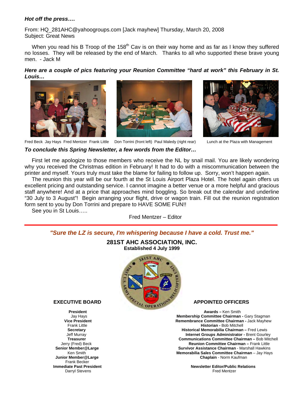#### *Hot off the press….*

From: HQ\_281AHC@yahoogroups.com [Jack mayhew] Thursday, March 20, 2008 Subject: Great News

When you read his B Troop of the 158<sup>th</sup> Cav is on their way home and as far as I know they suffered no losses. They will be released by the end of March. Thanks to all who supported these brave young men. - Jack M

### *Here are a couple of pics featuring your Reunion Committee "hard at work" this February in St. Louis…*







Fred Beck Jay Hays Fred Mentzer Frank Little Don Torrini (front left) Paul Maledy (right rear) Lunch at the Plaza with Management

#### *To conclude this Spring Newsletter, a few words from the Editor…*

First let me apologize to those members who receive the NL by snail mail. You are likely wondering why you received the Christmas edition in February! It had to do with a miscommunication between the printer and myself. Yours truly must take the blame for failing to follow up. Sorry, won't happen again.

The reunion this year will be our fourth at the St Louis Airport Plaza Hotel. The hotel again offers us excellent pricing and outstanding service. I cannot imagine a better venue or a more helpful and gracious staff anywhere! And at a price that approaches mind boggling. So break out the calendar and underline "30 July to 3 August"! Begin arranging your flight, drive or wagon train. Fill out the reunion registration form sent to you by Don Torrini and prepare to HAVE SOME FUN!!

See you in St Louis…..

Fred Mentzer – Editor

#### *"Sure the LZ is secure, I'm whispering because I have a cold. Trust me."*



# **281ST AHC ASSOCIATION, INC.**

**Historian - Bob Mitchell Reunion Committee Chairman – Frank Little**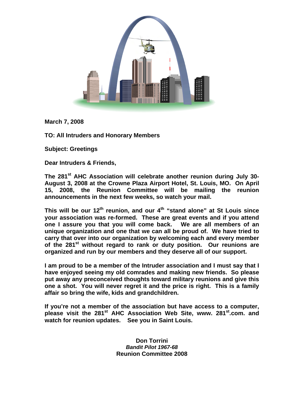

**March 7, 2008** 

**TO: All Intruders and Honorary Members** 

**Subject: Greetings** 

**Dear Intruders & Friends,** 

**The 281st AHC Association will celebrate another reunion during July 30- August 3, 2008 at the Crowne Plaza Airport Hotel, St. Louis, MO. On April 15, 2008, the Reunion Committee will be mailing the reunion announcements in the next few weeks, so watch your mail.** 

This will be our 12<sup>th</sup> reunion, and our 4<sup>th</sup> "stand alone" at St Louis since **your association was re-formed. These are great events and if you attend one I assure you that you will come back. We are all members of an unique organization and one that we can all be proud of. We have tried to carry that over into our organization by welcoming each and every member**  of the 281<sup>st</sup> without regard to rank or duty position. Our reunions are **organized and run by our members and they deserve all of our support.** 

**I am proud to be a member of the Intruder association and I must say that I have enjoyed seeing my old comrades and making new friends. So please put away any preconceived thoughts toward military reunions and give this one a shot. You will never regret it and the price is right. This is a family affair so bring the wife, kids and grandchildren.** 

**If you're not a member of the association but have access to a computer,**  please visit the 281<sup>st</sup> AHC Association Web Site, www. 281<sup>st</sup>.com. and **watch for reunion updates. See you in Saint Louis.** 

> **Don Torrini**  *Bandit Pilot 1967-68* **Reunion Committee 2008**